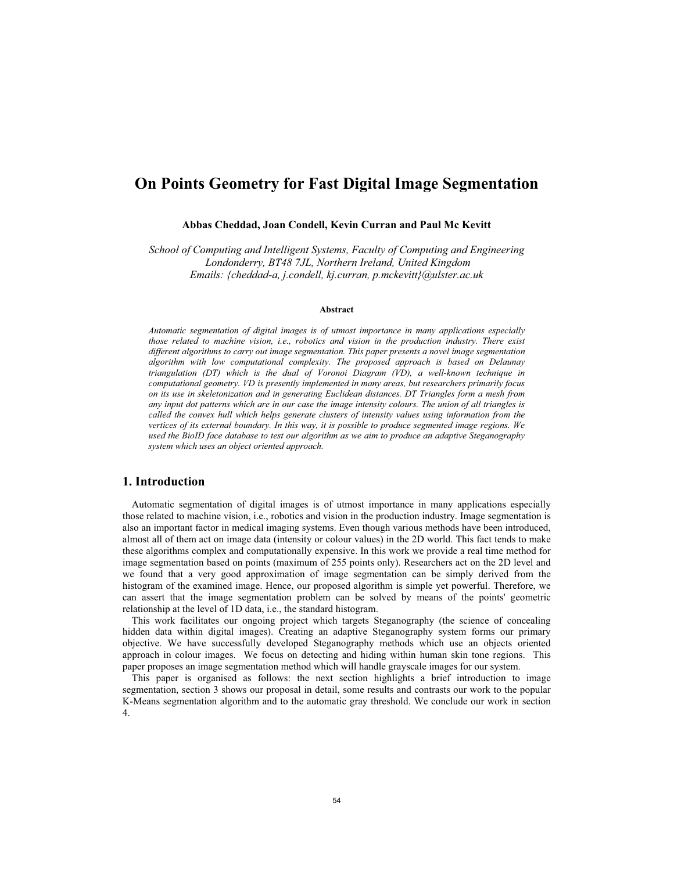# **On Points Geometry for Fast Digital Image Segmentation**

### **Abbas Cheddad, Joan Condell, Kevin Curran and Paul Mc Kevitt**

*School of Computing and Intelligent Systems, Faculty of Computing and Engineering Londonderry, BT48 7JL, Northern Ireland, United Kingdom Emails: {cheddad-a, j.condell, kj.curran, p.mckevitt}@ulster.ac.uk* 

#### **Abstract**

*Automatic segmentation of digital images is of utmost importance in many applications especially those related to machine vision, i.e., robotics and vision in the production industry. There exist different algorithms to carry out image segmentation. This paper presents a novel image segmentation algorithm with low computational complexity. The proposed approach is based on Delaunay triangulation (DT) which is the dual of Voronoi Diagram (VD), a well-known technique in computational geometry. VD is presently implemented in many areas, but researchers primarily focus on its use in skeletonization and in generating Euclidean distances. DT Triangles form a mesh from any input dot patterns which are in our case the image intensity colours. The union of all triangles is called the convex hull which helps generate clusters of intensity values using information from the vertices of its external boundary. In this way, it is possible to produce segmented image regions. We used the BioID face database to test our algorithm as we aim to produce an adaptive Steganography system which uses an object oriented approach.* 

#### **1. Introduction**

Automatic segmentation of digital images is of utmost importance in many applications especially those related to machine vision, i.e., robotics and vision in the production industry. Image segmentation is also an important factor in medical imaging systems. Even though various methods have been introduced, almost all of them act on image data (intensity or colour values) in the 2D world. This fact tends to make these algorithms complex and computationally expensive. In this work we provide a real time method for image segmentation based on points (maximum of 255 points only). Researchers act on the 2D level and we found that a very good approximation of image segmentation can be simply derived from the histogram of the examined image. Hence, our proposed algorithm is simple yet powerful. Therefore, we can assert that the image segmentation problem can be solved by means of the points' geometric relationship at the level of 1D data, i.e., the standard histogram.

This work facilitates our ongoing project which targets Steganography (the science of concealing hidden data within digital images). Creating an adaptive Steganography system forms our primary objective. We have successfully developed Steganography methods which use an objects oriented approach in colour images. We focus on detecting and hiding within human skin tone regions. This paper proposes an image segmentation method which will handle grayscale images for our system.

This paper is organised as follows: the next section highlights a brief introduction to image segmentation, section 3 shows our proposal in detail, some results and contrasts our work to the popular K-Means segmentation algorithm and to the automatic gray threshold. We conclude our work in section 4.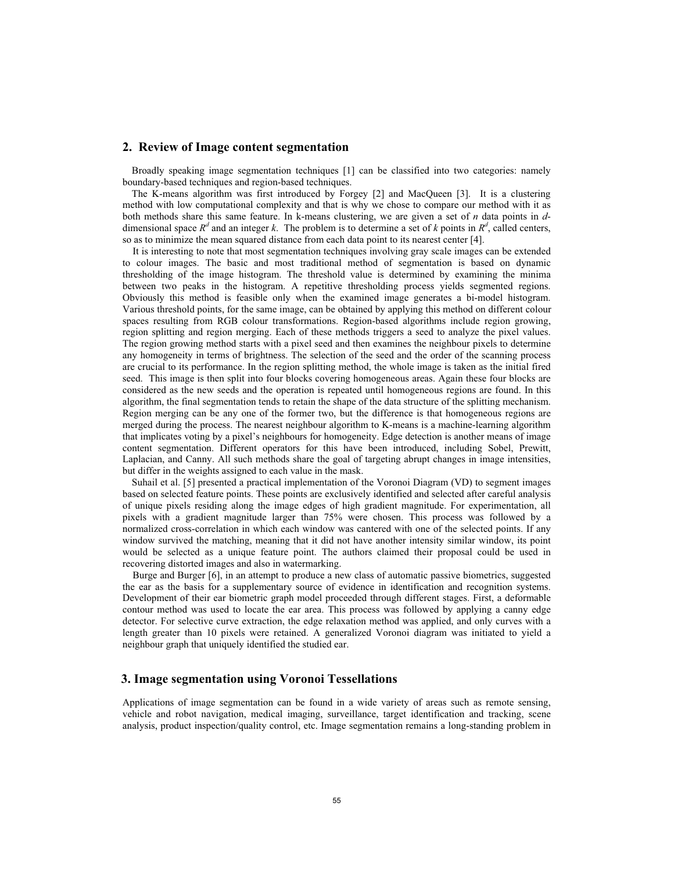#### **2. Review of Image content segmentation**

Broadly speaking image segmentation techniques [1] can be classified into two categories: namely boundary-based techniques and region-based techniques.

The K-means algorithm was first introduced by Forgey [2] and MacQueen [3]. It is a clustering method with low computational complexity and that is why we chose to compare our method with it as both methods share this same feature. In k-means clustering, we are given a set of *n* data points in *d*dimensional space  $R^d$  and an integer *k*. The problem is to determine a set of *k* points in  $R^d$ , called centers, so as to minimize the mean squared distance from each data point to its nearest center [4].

 It is interesting to note that most segmentation techniques involving gray scale images can be extended to colour images. The basic and most traditional method of segmentation is based on dynamic thresholding of the image histogram. The threshold value is determined by examining the minima between two peaks in the histogram. A repetitive thresholding process yields segmented regions. Obviously this method is feasible only when the examined image generates a bi-model histogram. Various threshold points, for the same image, can be obtained by applying this method on different colour spaces resulting from RGB colour transformations. Region-based algorithms include region growing, region splitting and region merging. Each of these methods triggers a seed to analyze the pixel values. The region growing method starts with a pixel seed and then examines the neighbour pixels to determine any homogeneity in terms of brightness. The selection of the seed and the order of the scanning process are crucial to its performance. In the region splitting method, the whole image is taken as the initial fired seed. This image is then split into four blocks covering homogeneous areas. Again these four blocks are considered as the new seeds and the operation is repeated until homogeneous regions are found. In this algorithm, the final segmentation tends to retain the shape of the data structure of the splitting mechanism. Region merging can be any one of the former two, but the difference is that homogeneous regions are merged during the process. The nearest neighbour algorithm to K-means is a machine-learning algorithm that implicates voting by a pixel's neighbours for homogeneity. Edge detection is another means of image content segmentation. Different operators for this have been introduced, including Sobel, Prewitt, Laplacian, and Canny. All such methods share the goal of targeting abrupt changes in image intensities, but differ in the weights assigned to each value in the mask.

Suhail et al. [5] presented a practical implementation of the Voronoi Diagram (VD) to segment images based on selected feature points. These points are exclusively identified and selected after careful analysis of unique pixels residing along the image edges of high gradient magnitude. For experimentation, all pixels with a gradient magnitude larger than 75% were chosen. This process was followed by a normalized cross-correlation in which each window was cantered with one of the selected points. If any window survived the matching, meaning that it did not have another intensity similar window, its point would be selected as a unique feature point. The authors claimed their proposal could be used in recovering distorted images and also in watermarking.

 Burge and Burger [6], in an attempt to produce a new class of automatic passive biometrics, suggested the ear as the basis for a supplementary source of evidence in identification and recognition systems. Development of their ear biometric graph model proceeded through different stages. First, a deformable contour method was used to locate the ear area. This process was followed by applying a canny edge detector. For selective curve extraction, the edge relaxation method was applied, and only curves with a length greater than 10 pixels were retained. A generalized Voronoi diagram was initiated to yield a neighbour graph that uniquely identified the studied ear.

## **3. Image segmentation using Voronoi Tessellations**

Applications of image segmentation can be found in a wide variety of areas such as remote sensing, vehicle and robot navigation, medical imaging, surveillance, target identification and tracking, scene analysis, product inspection/quality control, etc. Image segmentation remains a long-standing problem in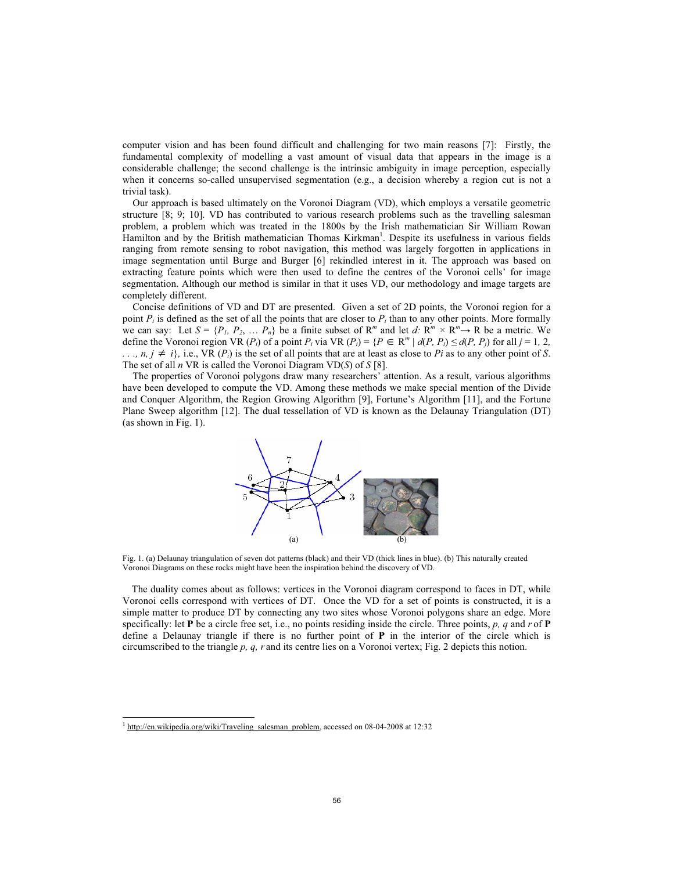computer vision and has been found difficult and challenging for two main reasons [7]: Firstly, the fundamental complexity of modelling a vast amount of visual data that appears in the image is a considerable challenge; the second challenge is the intrinsic ambiguity in image perception, especially when it concerns so-called unsupervised segmentation (e.g., a decision whereby a region cut is not a trivial task).

Our approach is based ultimately on the Voronoi Diagram (VD), which employs a versatile geometric structure [8; 9; 10]. VD has contributed to various research problems such as the travelling salesman problem, a problem which was treated in the 1800s by the Irish mathematician Sir William Rowan Hamilton and by the British mathematician Thomas Kirkman<sup>1</sup>. Despite its usefulness in various fields ranging from remote sensing to robot navigation, this method was largely forgotten in applications in image segmentation until Burge and Burger [6] rekindled interest in it. The approach was based on extracting feature points which were then used to define the centres of the Voronoi cells' for image segmentation. Although our method is similar in that it uses VD, our methodology and image targets are completely different.

Concise definitions of VD and DT are presented. Given a set of 2D points, the Voronoi region for a point  $P_i$  is defined as the set of all the points that are closer to  $P_i$  than to any other points. More formally we can say: Let  $S = \{P_1, P_2, \dots, P_n\}$  be a finite subset of  $R^m$  and let  $d: R^m \times R^m \rightarrow R$  be a metric. We define the Voronoi region VR  $(P_i)$  of a point  $P_i$  via VR  $(P_i) = \{P \in \mathbb{R}^m \mid d(P, P_i) \leq d(P, P_j) \}$  for all  $j = 1, 2,$  $\ldots$ , *n, j*  $\neq$  *i*}, i.e., VR (*P<sub>i</sub>*) is the set of all points that are at least as close to *Pi* as to any other point of *S*. The set of all *n* VR is called the Voronoi Diagram VD(*S*) of *S* [8].

The properties of Voronoi polygons draw many researchers' attention. As a result, various algorithms have been developed to compute the VD. Among these methods we make special mention of the Divide and Conquer Algorithm, the Region Growing Algorithm [9], Fortune's Algorithm [11], and the Fortune Plane Sweep algorithm [12]. The dual tessellation of VD is known as the Delaunay Triangulation (DT) (as shown in Fig. 1).



Fig. 1. (a) Delaunay triangulation of seven dot patterns (black) and their VD (thick lines in blue). (b) This naturally created Voronoi Diagrams on these rocks might have been the inspiration behind the discovery of VD.

The duality comes about as follows: vertices in the Voronoi diagram correspond to faces in DT, while Voronoi cells correspond with vertices of DT. Once the VD for a set of points is constructed, it is a simple matter to produce DT by connecting any two sites whose Voronoi polygons share an edge. More specifically: let **P** be a circle free set, i.e., no points residing inside the circle. Three points, *p, q* and *r* of **P** define a Delaunay triangle if there is no further point of **P** in the interior of the circle which is circumscribed to the triangle *p, q, r* and its centre lies on a Voronoi vertex; Fig. 2 depicts this notion.

<sup>&</sup>lt;sup>1</sup> http://en.wikipedia.org/wiki/Traveling\_salesman\_problem, accessed on 08-04-2008 at 12:32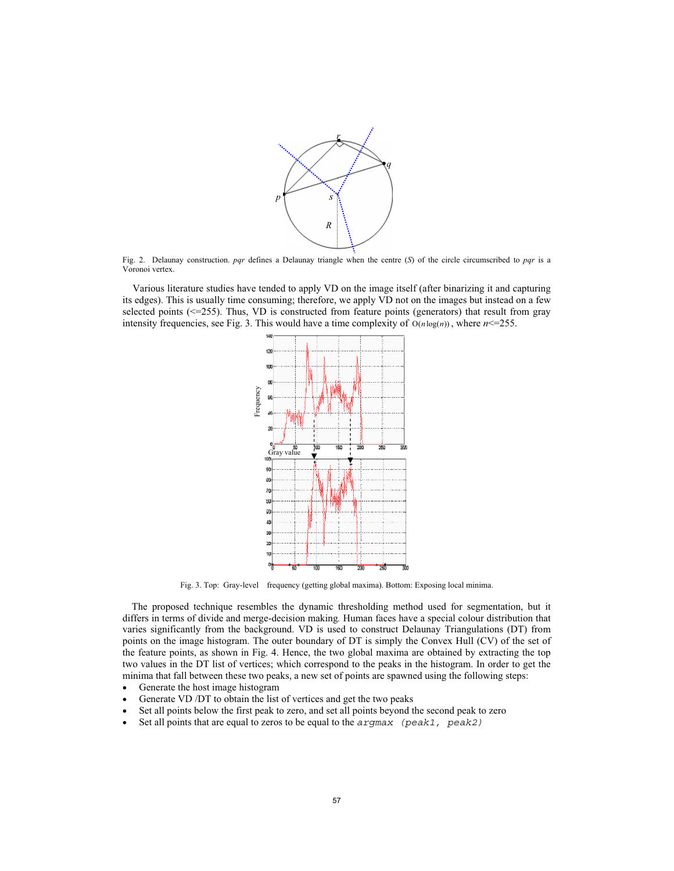

Fig. 2. Delaunay construction. *pqr* defines a Delaunay triangle when the centre (*S*) of the circle circumscribed to *pqr* is a Voronoi vertex.

Various literature studies have tended to apply VD on the image itself (after binarizing it and capturing its edges). This is usually time consuming; therefore, we apply VD not on the images but instead on a few selected points  $(\leq=255)$ . Thus, VD is constructed from feature points (generators) that result from gray intensity frequencies, see Fig. 3. This would have a time complexity of  $O(n \log(n))$ , where  $n \leq 255$ .



Fig. 3. Top: Gray-level frequency (getting global maxima). Bottom: Exposing local minima.

The proposed technique resembles the dynamic thresholding method used for segmentation, but it differs in terms of divide and merge-decision making*.* Human faces have a special colour distribution that varies significantly from the background. VD is used to construct Delaunay Triangulations (DT) from points on the image histogram. The outer boundary of DT is simply the Convex Hull (CV) of the set of the feature points, as shown in Fig. 4. Hence, the two global maxima are obtained by extracting the top two values in the DT list of vertices; which correspond to the peaks in the histogram. In order to get the minima that fall between these two peaks, a new set of points are spawned using the following steps:

- Generate the host image histogram
- Generate VD /DT to obtain the list of vertices and get the two peaks
- Set all points below the first peak to zero, and set all points beyond the second peak to zero
- Set all points that are equal to zeros to be equal to the  $\alpha r$  (peak1, peak2)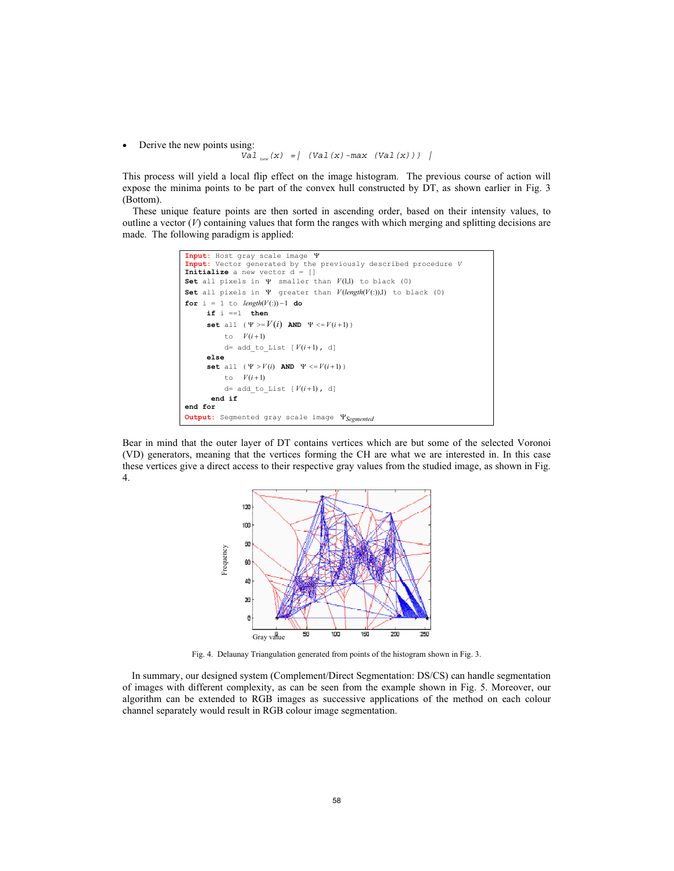$\bullet$  Derive the new points using:

```
Val_{new}(x) = | (Val(x)-max (Val(x))) |
```
This process will yield a local flip effect on the image histogram. The previous course of action will expose the minima points to be part of the convex hull constructed by DT, as shown earlier in Fig. 3 (Bottom).

These unique feature points are then sorted in ascending order, based on their intensity values, to outline a vector  $(V)$  containing values that form the ranges with which merging and splitting decisions are made. The following paradigm is applied:



Bear in mind that the outer layer of DT contains vertices which are but some of the selected Voronoi (VD) generators, meaning that the vertices forming the CH are what we are interested in. In this case these vertices give a direct access to their respective gray values from the studied image, as shown in Fig. 4.



Fig. 4. Delaunay Triangulation generated from points of the histogram shown in Fig. 3.

In summary, our designed system (Complement/Direct Segmentation: DS/CS) can handle segmentation of images with different complexity, as can be seen from the example shown in Fig. 5. Moreover, our algorithm can be extended to RGB images as successive applications of the method on each colour channel separately would result in RGB colour image segmentation.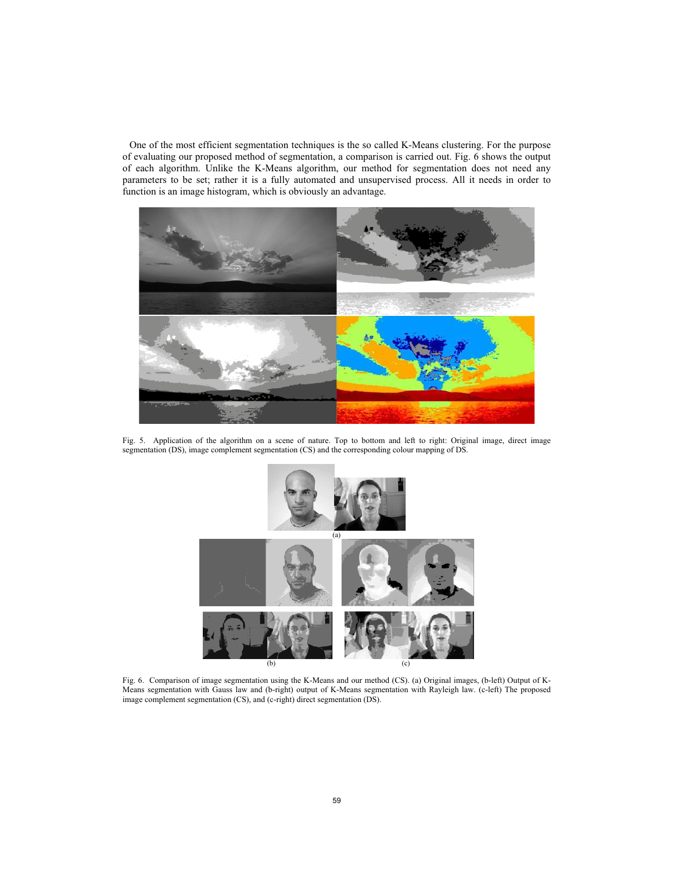One of the most efficient segmentation techniques is the so called K-Means clustering. For the purpose of evaluating our proposed method of segmentation, a comparison is carried out. Fig. 6 shows the output of each algorithm. Unlike the K-Means algorithm, our method for segmentation does not need any parameters to be set; rather it is a fully automated and unsupervised process. All it needs in order to function is an image histogram, which is obviously an advantage.



Fig. 5. Application of the algorithm on a scene of nature. Top to bottom and left to right: Original image, direct image segmentation (DS), image complement segmentation (CS) and the corresponding colour mapping of DS.



Fig. 6. Comparison of image segmentation using the K-Means and our method (CS). (a) Original images, (b-left) Output of K-Means segmentation with Gauss law and (b-right) output of K-Means segmentation with Rayleigh law. (c-left) The proposed image complement segmentation (CS), and (c-right) direct segmentation (DS).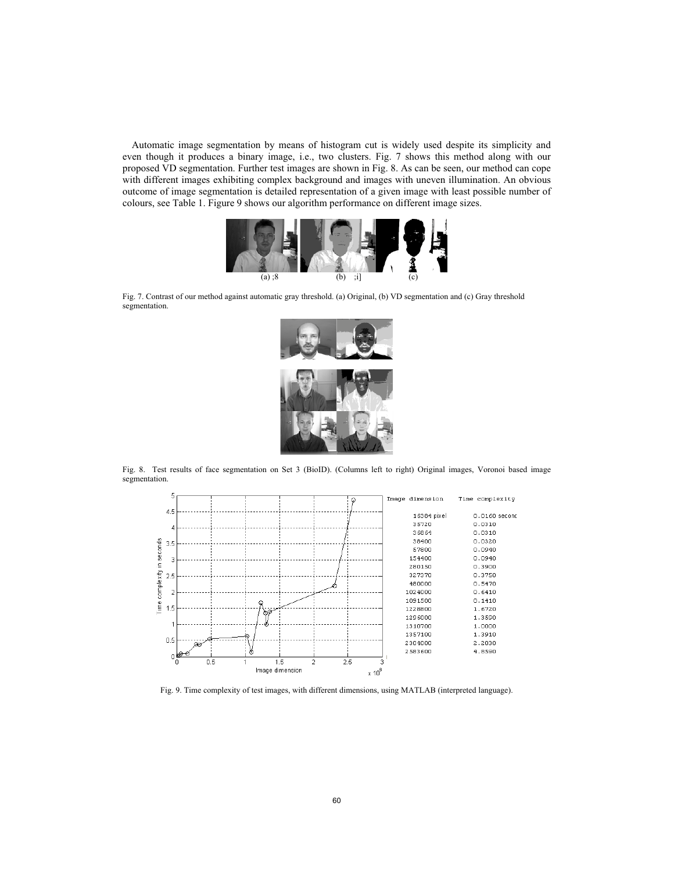Automatic image segmentation by means of histogram cut is widely used despite its simplicity and even though it produces a binary image, i.e., two clusters. Fig. 7 shows this method along with our proposed VD segmentation. Further test images are shown in Fig. 8. As can be seen, our method can cope with different images exhibiting complex background and images with uneven illumination. An obvious outcome of image segmentation is detailed representation of a given image with least possible number of colours, see Table 1. Figure 9 shows our algorithm performance on different image sizes.



Fig. 7. Contrast of our method against automatic gray threshold. (a) Original, (b) VD segmentation and (c) Gray threshold segmentation.



Fig. 8. Test results of face segmentation on Set 3 (BioID). (Columns left to right) Original images, Voronoi based image segmentation.



Fig. 9. Time complexity of test images, with different dimensions, using MATLAB (interpreted language).